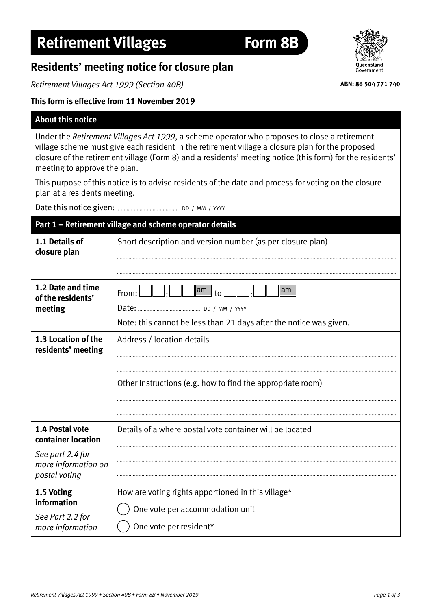## **Residents' meeting notice for closure plan**

*Retirement Villages Act 1999 (Section 40B)*

## **This form is effective from 11 November 2019**

## **About this notice**

Under the *Retirement Villages Act 1999*, a scheme operator who proposes to close a retirement village scheme must give each resident in the retirement village a closure plan for the proposed closure of the retirement village (Form 8) and a residents' meeting notice (this form) for the residents' meeting to approve the plan.

This purpose of this notice is to advise residents of the date and process for voting on the closure plan at a residents meeting.

Date this notice given: DD / MM / YYYY

## **Part 1 – Retirement village and scheme operator details**

| 1.1 Details of<br>closure plan                            | Short description and version number (as per closure plan)                                                          |
|-----------------------------------------------------------|---------------------------------------------------------------------------------------------------------------------|
| 1.2 Date and time<br>of the residents'<br>meeting         | lam<br>$\mathsf{lam}$<br>From:<br>to<br>Date:<br>Note: this cannot be less than 21 days after the notice was given. |
| 1.3 Location of the<br>residents' meeting                 | Address / location details<br>Other Instructions (e.g. how to find the appropriate room)                            |
| 1.4 Postal vote<br>container location<br>See part 2.4 for | Details of a where postal vote container will be located                                                            |
| more information on<br>postal voting                      |                                                                                                                     |
| 1.5 Voting<br>information                                 | How are voting rights apportioned in this village*<br>One vote per accommodation unit                               |
| See Part 2.2 for<br>more information                      | One vote per resident*                                                                                              |



**ABN: 86 504 771 740**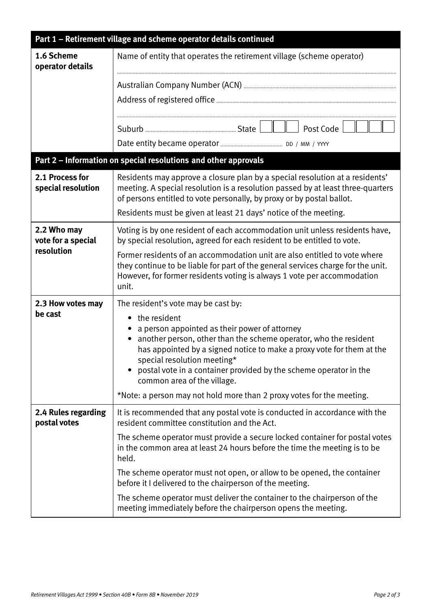| Part 1 - Retirement village and scheme operator details continued |                                                                                                                                                                                                                                                                                                                                                            |  |
|-------------------------------------------------------------------|------------------------------------------------------------------------------------------------------------------------------------------------------------------------------------------------------------------------------------------------------------------------------------------------------------------------------------------------------------|--|
| 1.6 Scheme<br>operator details                                    | Name of entity that operates the retirement village (scheme operator)                                                                                                                                                                                                                                                                                      |  |
|                                                                   |                                                                                                                                                                                                                                                                                                                                                            |  |
|                                                                   |                                                                                                                                                                                                                                                                                                                                                            |  |
|                                                                   |                                                                                                                                                                                                                                                                                                                                                            |  |
|                                                                   | Post Code                                                                                                                                                                                                                                                                                                                                                  |  |
|                                                                   |                                                                                                                                                                                                                                                                                                                                                            |  |
|                                                                   | Part 2 - Information on special resolutions and other approvals                                                                                                                                                                                                                                                                                            |  |
| 2.1 Process for<br>special resolution                             | Residents may approve a closure plan by a special resolution at a residents'<br>meeting. A special resolution is a resolution passed by at least three-quarters<br>of persons entitled to vote personally, by proxy or by postal ballot.<br>Residents must be given at least 21 days' notice of the meeting.                                               |  |
| 2.2 Who may<br>vote for a special<br>resolution                   | Voting is by one resident of each accommodation unit unless residents have,<br>by special resolution, agreed for each resident to be entitled to vote.                                                                                                                                                                                                     |  |
|                                                                   | Former residents of an accommodation unit are also entitled to vote where<br>they continue to be liable for part of the general services charge for the unit.<br>However, for former residents voting is always 1 vote per accommodation<br>unit.                                                                                                          |  |
| 2.3 How votes may                                                 | The resident's vote may be cast by:                                                                                                                                                                                                                                                                                                                        |  |
| be cast                                                           | the resident<br>$\bullet$<br>a person appointed as their power of attorney<br>another person, other than the scheme operator, who the resident<br>has appointed by a signed notice to make a proxy vote for them at the<br>special resolution meeting*<br>postal vote in a container provided by the scheme operator in the<br>common area of the village. |  |
|                                                                   | *Note: a person may not hold more than 2 proxy votes for the meeting.                                                                                                                                                                                                                                                                                      |  |
| 2.4 Rules regarding<br>postal votes                               | It is recommended that any postal vote is conducted in accordance with the<br>resident committee constitution and the Act.                                                                                                                                                                                                                                 |  |
|                                                                   | The scheme operator must provide a secure locked container for postal votes<br>in the common area at least 24 hours before the time the meeting is to be<br>held.                                                                                                                                                                                          |  |
|                                                                   | The scheme operator must not open, or allow to be opened, the container<br>before it I delivered to the chairperson of the meeting.                                                                                                                                                                                                                        |  |
|                                                                   | The scheme operator must deliver the container to the chairperson of the<br>meeting immediately before the chairperson opens the meeting.                                                                                                                                                                                                                  |  |